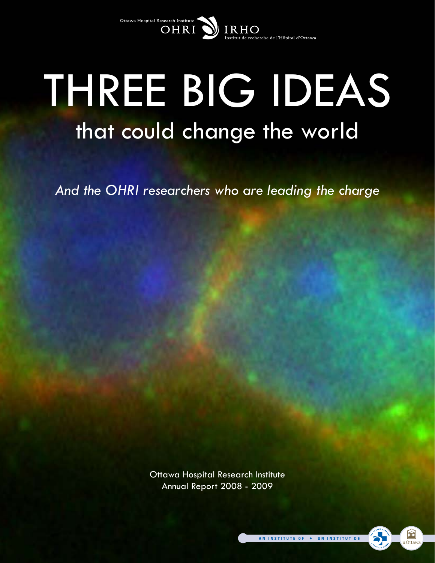

# THREE BIG IDEAS that could change the world

*And the OHRI researchers who are leading the charge*

Ottawa Hospital Research Institute Annual Report 2008 - 2009

血

1Ottav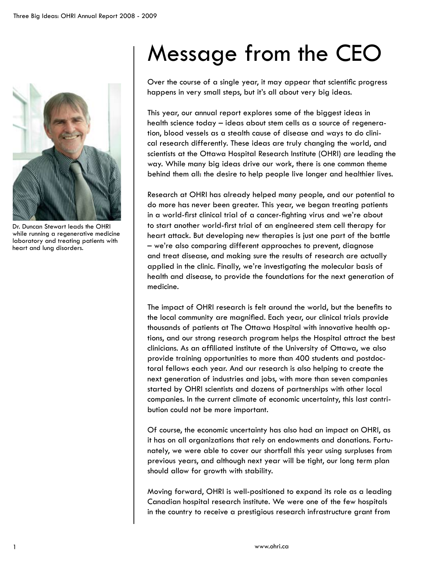

Dr. Duncan Stewart leads the OHRI while running a regenerative medicine laboratory and treating patients with heart and lung disorders.

### Message from the CEO

Over the course of a single year, it may appear that scientific progress happens in very small steps, but it's all about very big ideas.

This year, our annual report explores some of the biggest ideas in health science today – ideas about stem cells as a source of regeneration, blood vessels as a stealth cause of disease and ways to do clinical research differently. These ideas are truly changing the world, and scientists at the Ottawa Hospital Research Institute (OHRI) are leading the way. While many big ideas drive our work, there is one common theme behind them all: the desire to help people live longer and healthier lives.

Research at OHRI has already helped many people, and our potential to do more has never been greater. This year, we began treating patients in a world-first clinical trial of a cancer-fighting virus and we're about to start another world-first trial of an engineered stem cell therapy for heart attack. But developing new therapies is just one part of the battle – we're also comparing different approaches to prevent, diagnose and treat disease, and making sure the results of research are actually applied in the clinic. Finally, we're investigating the molecular basis of health and disease, to provide the foundations for the next generation of medicine.

The impact of OHRI research is felt around the world, but the benefits to the local community are magnified. Each year, our clinical trials provide thousands of patients at The Ottawa Hospital with innovative health options, and our strong research program helps the Hospital attract the best clinicians. As an affiliated institute of the University of Ottawa, we also provide training opportunities to more than 400 students and postdoctoral fellows each year. And our research is also helping to create the next generation of industries and jobs, with more than seven companies started by OHRI scientists and dozens of partnerships with other local companies. In the current climate of economic uncertainty, this last contribution could not be more important.

Of course, the economic uncertainty has also had an impact on OHRI, as it has on all organizations that rely on endowments and donations. Fortunately, we were able to cover our shortfall this year using surpluses from previous years, and although next year will be tight, our long term plan should allow for growth with stability.

Moving forward, OHRI is well-positioned to expand its role as a leading Canadian hospital research institute. We were one of the few hospitals in the country to receive a prestigious research infrastructure grant from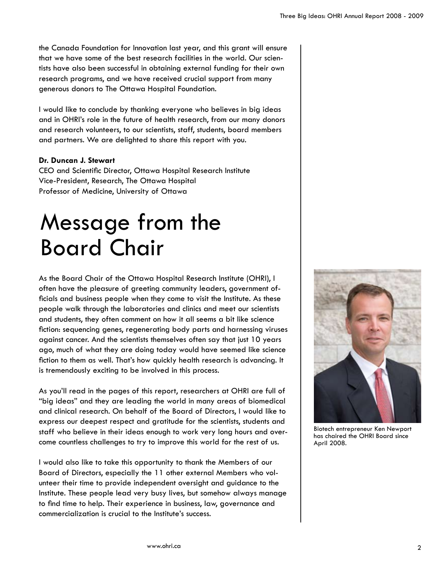the Canada Foundation for Innovation last year, and this grant will ensure that we have some of the best research facilities in the world. Our scientists have also been successful in obtaining external funding for their own research programs, and we have received crucial support from many generous donors to The Ottawa Hospital Foundation.

I would like to conclude by thanking everyone who believes in big ideas and in OHRI's role in the future of health research, from our many donors and research volunteers, to our scientists, staff, students, board members and partners. We are delighted to share this report with you.

#### **Dr. Duncan J. Stewart**

CEO and Scientific Director, Ottawa Hospital Research Institute Vice-President, Research, The Ottawa Hospital Professor of Medicine, University of Ottawa

### Message from the Board Chair

As the Board Chair of the Ottawa Hospital Research Institute (OHRI), I often have the pleasure of greeting community leaders, government officials and business people when they come to visit the Institute. As these people walk through the laboratories and clinics and meet our scientists and students, they often comment on how it all seems a bit like science fiction: sequencing genes, regenerating body parts and harnessing viruses against cancer. And the scientists themselves often say that just 10 years ago, much of what they are doing today would have seemed like science fiction to them as well. That's how quickly health research is advancing. It is tremendously exciting to be involved in this process.

As you'll read in the pages of this report, researchers at OHRI are full of "big ideas" and they are leading the world in many areas of biomedical and clinical research. On behalf of the Board of Directors, I would like to express our deepest respect and gratitude for the scientists, students and staff who believe in their ideas enough to work very long hours and overcome countless challenges to try to improve this world for the rest of us.

I would also like to take this opportunity to thank the Members of our Board of Directors, especially the 11 other external Members who volunteer their time to provide independent oversight and guidance to the Institute. These people lead very busy lives, but somehow always manage to find time to help. Their experience in business, law, governance and commercialization is crucial to the Institute's success.



Biotech entrepreneur Ken Newport has chaired the OHRI Board since April 2008.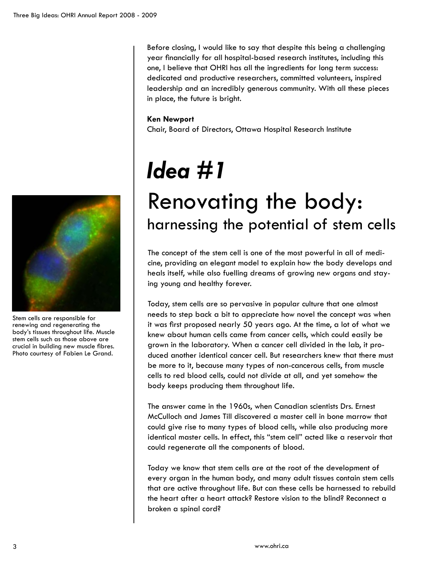Before closing, I would like to say that despite this being a challenging year financially for all hospital-based research institutes, including this one, I believe that OHRI has all the ingredients for long term success: dedicated and productive researchers, committed volunteers, inspired leadership and an incredibly generous community. With all these pieces in place, the future is bright.

#### **Ken Newport**

Chair, Board of Directors, Ottawa Hospital Research Institute

## *Idea #1*

### Renovating the body: harnessing the potential of stem cells

The concept of the stem cell is one of the most powerful in all of medicine, providing an elegant model to explain how the body develops and heals itself, while also fuelling dreams of growing new organs and staying young and healthy forever.

Today, stem cells are so pervasive in popular culture that one almost needs to step back a bit to appreciate how novel the concept was when it was first proposed nearly 50 years ago. At the time, a lot of what we knew about human cells came from cancer cells, which could easily be grown in the laboratory. When a cancer cell divided in the lab, it produced another identical cancer cell. But researchers knew that there must be more to it, because many types of non-cancerous cells, from muscle cells to red blood cells, could not divide at all, and yet somehow the body keeps producing them throughout life.

The answer came in the 1960s, when Canadian scientists Drs. Ernest McCulloch and James Till discovered a master cell in bone marrow that could give rise to many types of blood cells, while also producing more identical master cells. In effect, this "stem cell" acted like a reservoir that could regenerate all the components of blood.

Today we know that stem cells are at the root of the development of every organ in the human body, and many adult tissues contain stem cells that are active throughout life. But can these cells be harnessed to rebuild the heart after a heart attack? Restore vision to the blind? Reconnect a broken a spinal cord?



Stem cells are responsible for renewing and regenerating the body's tissues throughout life. Muscle stem cells such as those above are crucial in building new muscle fibres. Photo courtesy of Fabien Le Grand.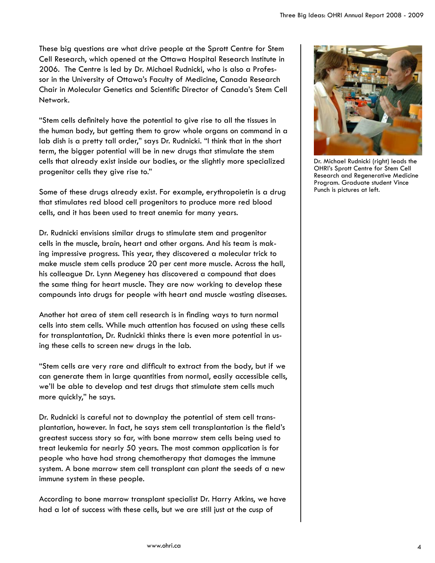These big questions are what drive people at the Sprott Centre for Stem Cell Research, which opened at the Ottawa Hospital Research Institute in 2006. The Centre is led by Dr. Michael Rudnicki, who is also a Professor in the University of Ottawa's Faculty of Medicine, Canada Research Chair in Molecular Genetics and Scientific Director of Canada's Stem Cell Network.

"Stem cells definitely have the potential to give rise to all the tissues in the human body, but getting them to grow whole organs on command in a lab dish is a pretty tall order," says Dr. Rudnicki. "I think that in the short term, the bigger potential will be in new drugs that stimulate the stem cells that already exist inside our bodies, or the slightly more specialized progenitor cells they give rise to."

Some of these drugs already exist. For example, erythropoietin is a drug that stimulates red blood cell progenitors to produce more red blood cells, and it has been used to treat anemia for many years.

Dr. Rudnicki envisions similar drugs to stimulate stem and progenitor cells in the muscle, brain, heart and other organs. And his team is making impressive progress. This year, they discovered a molecular trick to make muscle stem cells produce 20 per cent more muscle. Across the hall, his colleague Dr. Lynn Megeney has discovered a compound that does the same thing for heart muscle. They are now working to develop these compounds into drugs for people with heart and muscle wasting diseases.

Another hot area of stem cell research is in finding ways to turn normal cells into stem cells. While much attention has focused on using these cells for transplantation, Dr. Rudnicki thinks there is even more potential in using these cells to screen new drugs in the lab.

"Stem cells are very rare and difficult to extract from the body, but if we can generate them in large quantities from normal, easily accessible cells, we'll be able to develop and test drugs that stimulate stem cells much more quickly," he says.

Dr. Rudnicki is careful not to downplay the potential of stem cell transplantation, however. In fact, he says stem cell transplantation is the field's greatest success story so far, with bone marrow stem cells being used to treat leukemia for nearly 50 years. The most common application is for people who have had strong chemotherapy that damages the immune system. A bone marrow stem cell transplant can plant the seeds of a new immune system in these people.

According to bone marrow transplant specialist Dr. Harry Atkins, we have had a lot of success with these cells, but we are still just at the cusp of



Dr. Michael Rudnicki (right) leads the OHRI's Sprott Centre for Stem Cell Research and Regenerative Medicine Program. Graduate student Vince Punch is pictures at left.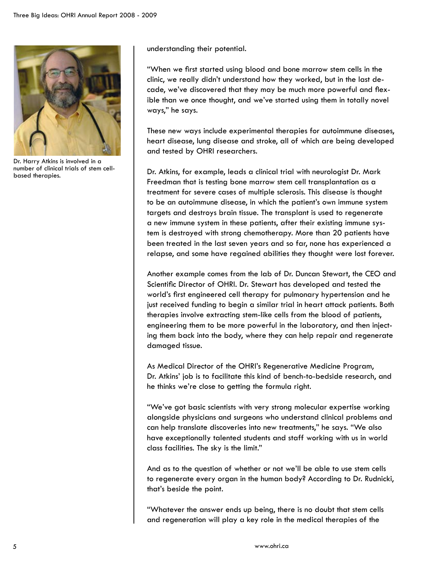

Dr. Harry Atkins is involved in a number of clinical trials of stem cellbased therapies.

understanding their potential.

"When we first started using blood and bone marrow stem cells in the clinic, we really didn't understand how they worked, but in the last decade, we've discovered that they may be much more powerful and flexible than we once thought, and we've started using them in totally novel ways," he says.

These new ways include experimental therapies for autoimmune diseases, heart disease, lung disease and stroke, all of which are being developed and tested by OHRI researchers.

Dr. Atkins, for example, leads a clinical trial with neurologist Dr. Mark Freedman that is testing bone marrow stem cell transplantation as a treatment for severe cases of multiple sclerosis. This disease is thought to be an autoimmune disease, in which the patient's own immune system targets and destroys brain tissue. The transplant is used to regenerate a new immune system in these patients, after their existing immune system is destroyed with strong chemotherapy. More than 20 patients have been treated in the last seven years and so far, none has experienced a relapse, and some have regained abilities they thought were lost forever.

Another example comes from the lab of Dr. Duncan Stewart, the CEO and Scientific Director of OHRI. Dr. Stewart has developed and tested the world's first engineered cell therapy for pulmonary hypertension and he just received funding to begin a similar trial in heart attack patients. Both therapies involve extracting stem-like cells from the blood of patients, engineering them to be more powerful in the laboratory, and then injecting them back into the body, where they can help repair and regenerate damaged tissue.

As Medical Director of the OHRI's Regenerative Medicine Program, Dr. Atkins' job is to facilitate this kind of bench-to-bedside research, and he thinks we're close to getting the formula right.

"We've got basic scientists with very strong molecular expertise working alongside physicians and surgeons who understand clinical problems and can help translate discoveries into new treatments," he says. "We also have exceptionally talented students and staff working with us in world class facilities. The sky is the limit."

And as to the question of whether or not we'll be able to use stem cells to regenerate every organ in the human body? According to Dr. Rudnicki, that's beside the point.

"Whatever the answer ends up being, there is no doubt that stem cells and regeneration will play a key role in the medical therapies of the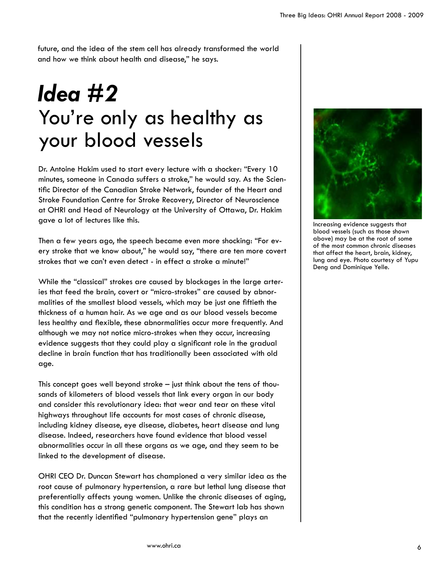future, and the idea of the stem cell has already transformed the world and how we think about health and disease," he says.

### *Idea #2* You're only as healthy as your blood vessels

Dr. Antoine Hakim used to start every lecture with a shocker: "Every 10 minutes, someone in Canada suffers a stroke," he would say. As the Scientific Director of the Canadian Stroke Network, founder of the Heart and Stroke Foundation Centre for Stroke Recovery, Director of Neuroscience at OHRI and Head of Neurology at the University of Ottawa, Dr. Hakim gave a lot of lectures like this.

Then a few years ago, the speech became even more shocking: "For every stroke that we know about," he would say, "there are ten more covert strokes that we can't even detect - in effect a stroke a minute!"

While the "classical" strokes are caused by blockages in the large arteries that feed the brain, covert or "micro-strokes" are caused by abnormalities of the smallest blood vessels, which may be just one fiftieth the thickness of a human hair. As we age and as our blood vessels become less healthy and flexible, these abnormalities occur more frequently. And although we may not notice micro-strokes when they occur, increasing evidence suggests that they could play a significant role in the gradual decline in brain function that has traditionally been associated with old age.

This concept goes well beyond stroke – just think about the tens of thousands of kilometers of blood vessels that link every organ in our body and consider this revolutionary idea: that wear and tear on these vital highways throughout life accounts for most cases of chronic disease, including kidney disease, eye disease, diabetes, heart disease and lung disease. Indeed, researchers have found evidence that blood vessel abnormalities occur in all these organs as we age, and they seem to be linked to the development of disease.

OHRI CEO Dr. Duncan Stewart has championed a very similar idea as the root cause of pulmonary hypertension, a rare but lethal lung disease that preferentially affects young women. Unlike the chronic diseases of aging, this condition has a strong genetic component. The Stewart lab has shown that the recently identified "pulmonary hypertension gene" plays an



Increasing evidence suggests that blood vessels (such as those shown above) may be at the root of some of the most common chronic diseases that affect the heart, brain, kidney, lung and eye. Photo courtesy of Yupu Deng and Dominique Yelle.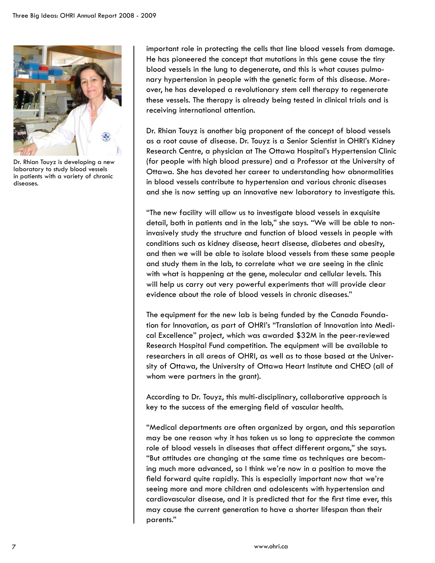

Dr. Rhian Touyz is developing a new laboratory to study blood vessels in patients with a variety of chronic diseases.

important role in protecting the cells that line blood vessels from damage. He has pioneered the concept that mutations in this gene cause the tiny blood vessels in the lung to degenerate, and this is what causes pulmonary hypertension in people with the genetic form of this disease. Moreover, he has developed a revolutionary stem cell therapy to regenerate these vessels. The therapy is already being tested in clinical trials and is receiving international attention.

Dr. Rhian Touyz is another big proponent of the concept of blood vessels as a root cause of disease. Dr. Touyz is a Senior Scientist in OHRI's Kidney Research Centre, a physician at The Ottawa Hospital's Hypertension Clinic (for people with high blood pressure) and a Professor at the University of Ottawa. She has devoted her career to understanding how abnormalities in blood vessels contribute to hypertension and various chronic diseases and she is now setting up an innovative new laboratory to investigate this.

"The new facility will allow us to investigate blood vessels in exquisite detail, both in patients and in the lab," she says. "We will be able to noninvasively study the structure and function of blood vessels in people with conditions such as kidney disease, heart disease, diabetes and obesity, and then we will be able to isolate blood vessels from these same people and study them in the lab, to correlate what we are seeing in the clinic with what is happening at the gene, molecular and cellular levels. This will help us carry out very powerful experiments that will provide clear evidence about the role of blood vessels in chronic diseases."

The equipment for the new lab is being funded by the Canada Foundation for Innovation, as part of OHRI's "Translation of Innovation into Medical Excellence" project, which was awarded \$32M in the peer-reviewed Research Hospital Fund competition. The equipment will be available to researchers in all areas of OHRI, as well as to those based at the University of Ottawa, the University of Ottawa Heart Institute and CHEO (all of whom were partners in the grant).

According to Dr. Touyz, this multi-disciplinary, collaborative approach is key to the success of the emerging field of vascular health.

"Medical departments are often organized by organ, and this separation may be one reason why it has taken us so long to appreciate the common role of blood vessels in diseases that affect different organs," she says. "But attitudes are changing at the same time as techniques are becoming much more advanced, so I think we're now in a position to move the field forward quite rapidly. This is especially important now that we're seeing more and more children and adolescents with hypertension and cardiovascular disease, and it is predicted that for the first time ever, this may cause the current generation to have a shorter lifespan than their parents."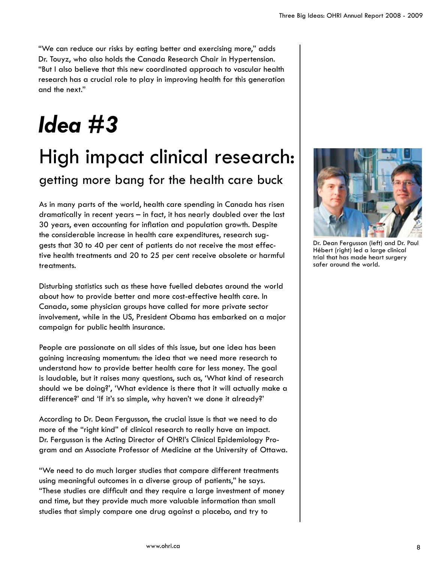"We can reduce our risks by eating better and exercising more," adds Dr. Touyz, who also holds the Canada Research Chair in Hypertension. "But I also believe that this new coordinated approach to vascular health research has a crucial role to play in improving health for this generation and the next."

## *Idea #3*

### High impact clinical research: getting more bang for the health care buck

As in many parts of the world, health care spending in Canada has risen dramatically in recent years – in fact, it has nearly doubled over the last 30 years, even accounting for inflation and population growth. Despite the considerable increase in health care expenditures, research suggests that 30 to 40 per cent of patients do not receive the most effective health treatments and 20 to 25 per cent receive obsolete or harmful treatments.

Disturbing statistics such as these have fuelled debates around the world about how to provide better and more cost-effective health care. In Canada, some physician groups have called for more private sector involvement, while in the US, President Obama has embarked on a major campaign for public health insurance.

People are passionate on all sides of this issue, but one idea has been gaining increasing momentum: the idea that we need more research to understand how to provide better health care for less money. The goal is laudable, but it raises many questions, such as, 'What kind of research should we be doing?', 'What evidence is there that it will actually make a difference?' and 'If it's so simple, why haven't we done it already?'

According to Dr. Dean Fergusson, the crucial issue is that we need to do more of the "right kind" of clinical research to really have an impact. Dr. Fergusson is the Acting Director of OHRI's Clinical Epidemiology Program and an Associate Professor of Medicine at the University of Ottawa.

"We need to do much larger studies that compare different treatments using meaningful outcomes in a diverse group of patients," he says. "These studies are difficult and they require a large investment of money and time, but they provide much more valuable information than small studies that simply compare one drug against a placebo, and try to



Dr. Dean Fergusson (left) and Dr. Paul Hébert (right) led a large clinical trial that has made heart surgery safer around the world.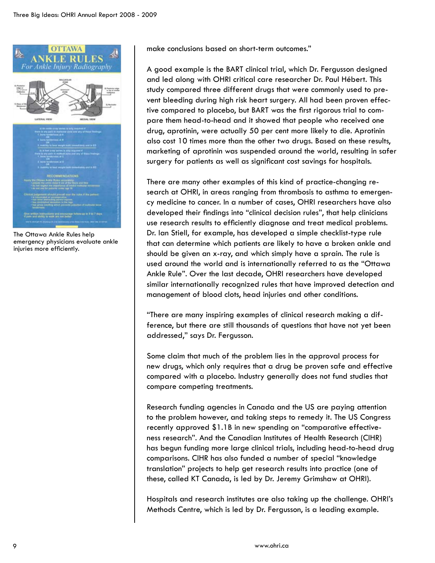

The Ottawa Ankle Rules help emergency physicians evaluate ankle injuries more efficiently.

make conclusions based on short-term outcomes."

A good example is the BART clinical trial, which Dr. Fergusson designed and led along with OHRI critical care researcher Dr. Paul Hébert. This study compared three different drugs that were commonly used to prevent bleeding during high risk heart surgery. All had been proven effective compared to placebo, but BART was the first rigorous trial to compare them head-to-head and it showed that people who received one drug, aprotinin, were actually 50 per cent more likely to die. Aprotinin also cost 10 times more than the other two drugs. Based on these results, marketing of aprotinin was suspended around the world, resulting in safer surgery for patients as well as significant cost savings for hospitals.

There are many other examples of this kind of practice-changing research at OHRI, in areas ranging from thrombosis to asthma to emergency medicine to cancer. In a number of cases, OHRI researchers have also developed their findings into "clinical decision rules", that help clinicians use research results to efficiently diagnose and treat medical problems. Dr. Ian Stiell, for example, has developed a simple checklist-type rule that can determine which patients are likely to have a broken ankle and should be given an x-ray, and which simply have a sprain. The rule is used around the world and is internationally referred to as the "Ottawa Ankle Rule". Over the last decade, OHRI researchers have developed similar internationally recognized rules that have improved detection and management of blood clots, head injuries and other conditions.

"There are many inspiring examples of clinical research making a difference, but there are still thousands of questions that have not yet been addressed," says Dr. Fergusson.

Some claim that much of the problem lies in the approval process for new drugs, which only requires that a drug be proven safe and effective compared with a placebo. Industry generally does not fund studies that compare competing treatments.

Research funding agencies in Canada and the US are paying attention to the problem however, and taking steps to remedy it. The US Congress recently approved \$1.1B in new spending on "comparative effectiveness research". And the Canadian Institutes of Health Research (CIHR) has begun funding more large clinical trials, including head-to-head drug comparisons. CIHR has also funded a number of special "knowledge translation" projects to help get research results into practice (one of these, called KT Canada, is led by Dr. Jeremy Grimshaw at OHRI).

Hospitals and research institutes are also taking up the challenge. OHRI's Methods Centre, which is led by Dr. Fergusson, is a leading example.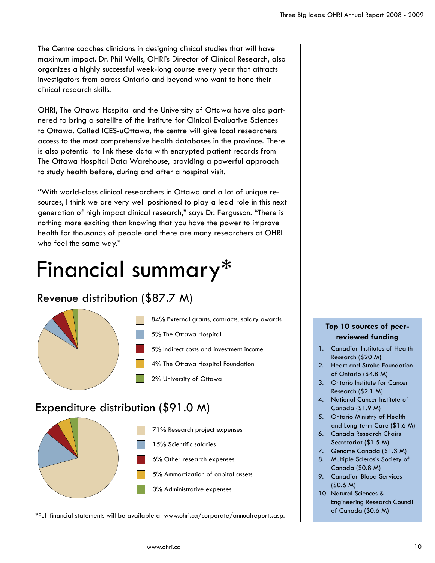The Centre coaches clinicians in designing clinical studies that will have maximum impact. Dr. Phil Wells, OHRI's Director of Clinical Research, also organizes a highly successful week-long course every year that attracts investigators from across Ontario and beyond who want to hone their clinical research skills.

OHRI, The Ottawa Hospital and the University of Ottawa have also partnered to bring a satellite of the Institute for Clinical Evaluative Sciences to Ottawa. Called ICES-uOttawa, the centre will give local researchers access to the most comprehensive health databases in the province. There is also potential to link these data with encrypted patient records from The Ottawa Hospital Data Warehouse, providing a powerful approach to study health before, during and after a hospital visit.

"With world-class clinical researchers in Ottawa and a lot of unique resources, I think we are very well positioned to play a lead role in this next generation of high impact clinical research," says Dr. Fergusson. "There is nothing more exciting than knowing that you have the power to improve health for thousands of people and there are many researchers at OHRI who feel the same way."

## Financial summary\*

#### Revenue distribution (\$87.7 M)



84% External grants, contracts, salary awards

- 5% The Ottawa Hospital
- 5% Indirect costs and investment income
- 4% The Ottawa Hospital Foundation
- 2% University of Ottawa

#### Expenditure distribution (\$91.0 M)



\*Full financial statements will be available at www.ohri.ca/corporate/annualreports.asp.

#### **Top 10 sources of peerreviewed funding**

- 1. Canadian Institutes of Health Research (\$20 M)
- 2. Heart and Stroke Foundation of Ontario (\$4.8 M)
- 3. Ontario Institute for Cancer Research (\$2.1 M)
- 4. National Cancer Institute of Canada (\$1.9 M)
- 5. Ontario Ministry of Health and Long-term Care (\$1.6 M)
- 6. Canada Research Chairs Secretariat (\$1.5 M)
- 7. Genome Canada (\$1.3 M)
- 8. Multiple Sclerosis Society of Canada (\$0.8 M)
- 9. Canadian Blood Services (\$0.6 M)
- 10. Natural Sciences & Engineering Research Council of Canada (\$0.6 M)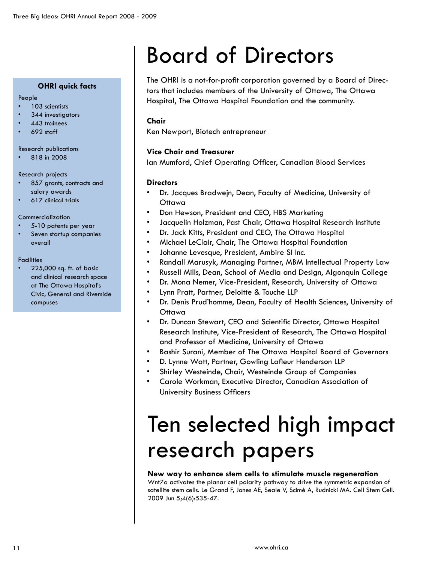#### **OHRI quick facts**

#### People

- 103 scientists •
- 344 investigators •
- 443 trainees •
- 692 staff •

#### Research publications

818 in 2008 •

#### Research projects

- 857 grants, contracts and salary awards •
- 617 clinical trials •

#### Commercialization

- 5-10 patents per year •
- Seven startup companies overall •

#### **Facilities**

225,000 sq. ft. of basic and clinical research space at The Ottawa Hospital's Civic, General and Riverside campuses •

### Board of Directors

The OHRI is a not-for-profit corporation governed by a Board of Directors that includes members of the University of Ottawa, The Ottawa Hospital, The Ottawa Hospital Foundation and the community.

#### **Chair**

Ken Newport, Biotech entrepreneur

#### **Vice Chair and Treasurer**

Ian Mumford, Chief Operating Officer, Canadian Blood Services

#### **Directors**

- Dr. Jacques Bradwejn, Dean, Faculty of Medicine, University of **Ottawa** •
- Don Hewson, President and CEO, HBS Marketing •
- Jacquelin Holzman, Past Chair, Ottawa Hospital Research Institute •
- Dr. Jack Kitts, President and CEO, The Ottawa Hospital •
- Michael LeClair, Chair, The Ottawa Hospital Foundation •
- Johanne Levesque, President, Ambire SI Inc. •
- Randall Marusyk, Managing Partner, MBM Intellectual Property Law •
- Russell Mills, Dean, School of Media and Design, Algonquin College •
- Dr. Mona Nemer, Vice-President, Research, University of Ottawa •
- Lynn Pratt, Partner, Deloitte & Touche LLP •
- Dr. Denis Prud'homme, Dean, Faculty of Health Sciences, University of **Ottawa** •
- Dr. Duncan Stewart, CEO and Scientific Director, Ottawa Hospital Research Institute, Vice-President of Research, The Ottawa Hospital and Professor of Medicine, University of Ottawa •
- Bashir Surani, Member of The Ottawa Hospital Board of Governors •
- D. Lynne Watt, Partner, Gowling Lafleur Henderson LLP •
- Shirley Westeinde, Chair, Westeinde Group of Companies •
- Carole Workman, Executive Director, Canadian Association of University Business Officers •

### Ten selected high impact research papers

#### **New way to enhance stem cells to stimulate muscle regeneration**

Wnt7a activates the planar cell polarity pathway to drive the symmetric expansion of satellite stem cells. Le Grand F, Jones AE, Seale V, Scimè A, Rudnicki MA. Cell Stem Cell. 2009 Jun 5;4(6):535-47.